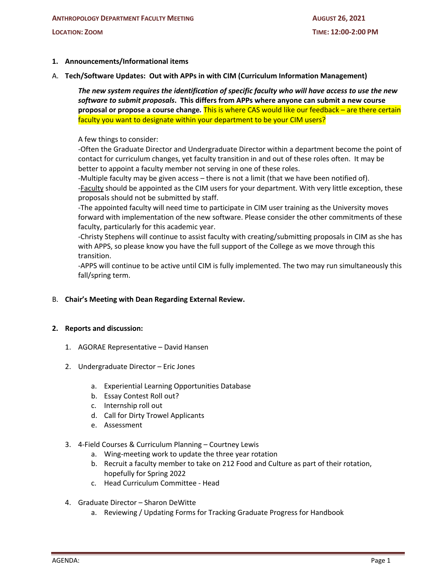# **1. Announcements/Informational items**

A. **Tech/Software Updates: Out with APPs in with CIM (Curriculum Information Management)**

*The new system requires the identification of specific faculty who will have access to use the new software to submit proposals***. This differs from APPs where anyone can submit a new course proposal or propose a course change***.* This is where CAS would like our feedback – are there certain faculty you want to designate within your department to be your CIM users?

A few things to consider:

-Often the Graduate Director and Undergraduate Director within a department become the point of contact for curriculum changes, yet faculty transition in and out of these roles often. It may be better to appoint a faculty member not serving in one of these roles.

-Multiple faculty may be given access – there is not a limit (that we have been notified of). -Faculty should be appointed as the CIM users for your department. With very little exception, these proposals should not be submitted by staff.

-The appointed faculty will need time to participate in CIM user training as the University moves forward with implementation of the new software. Please consider the other commitments of these faculty, particularly for this academic year.

-Christy Stephens will continue to assist faculty with creating/submitting proposals in CIM as she has with APPS, so please know you have the full support of the College as we move through this transition.

-APPS will continue to be active until CIM is fully implemented. The two may run simultaneously this fall/spring term.

B. **Chair's Meeting with Dean Regarding External Review.**

## **2. Reports and discussion:**

- 1. AGORAE Representative David Hansen
- 2. Undergraduate Director Eric Jones
	- a. Experiential Learning Opportunities Database
	- b. Essay Contest Roll out?
	- c. Internship roll out
	- d. Call for Dirty Trowel Applicants
	- e. Assessment
- 3. 4-Field Courses & Curriculum Planning Courtney Lewis
	- a. Wing-meeting work to update the three year rotation
	- b. Recruit a faculty member to take on 212 Food and Culture as part of their rotation, hopefully for Spring 2022
	- c. Head Curriculum Committee Head
- 4. Graduate Director Sharon DeWitte
	- a. Reviewing / Updating Forms for Tracking Graduate Progress for Handbook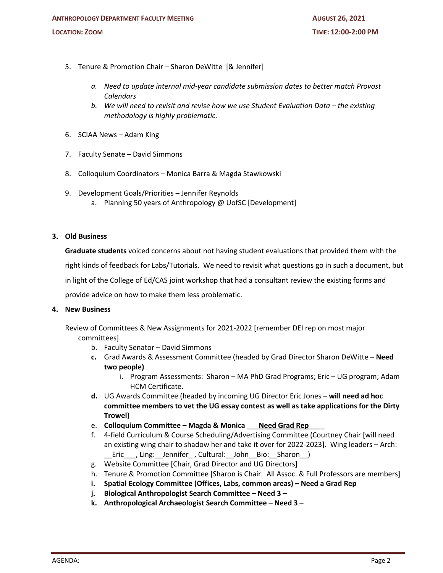- 5. Tenure & Promotion Chair Sharon DeWitte [& Jennifer]
	- *a. Need to update internal mid-year candidate submission dates to better match Provost Calendars*
	- *b. We will need to revisit and revise how we use Student Evaluation Data – the existing methodology is highly problematic.*
- 6. SCIAA News Adam King
- 7. Faculty Senate David Simmons
- 8. Colloquium Coordinators Monica Barra & Magda Stawkowski
- 9. Development Goals/Priorities Jennifer Reynolds
	- a. Planning 50 years of Anthropology @ UofSC [Development]

## **3. Old Business**

**Graduate students** voiced concerns about not having student evaluations that provided them with the

right kinds of feedback for Labs/Tutorials. We need to revisit what questions go in such a document, but

in light of the College of Ed/CAS joint workshop that had a consultant review the existing forms and

provide advice on how to make them less problematic.

## **4. New Business**

Review of Committees & New Assignments for 2021-2022 [remember DEI rep on most major committees]

- b. Faculty Senator David Simmons
- **c.** Grad Awards & Assessment Committee (headed by Grad Director Sharon DeWitte **Need two people)**
	- i. Program Assessments: Sharon MA PhD Grad Programs; Eric UG program; Adam HCM Certificate.
- **d.** UG Awards Committee (headed by incoming UG Director Eric Jones **will need ad hoc committee members to vet the UG essay contest as well as take applications for the Dirty Trowel)**
- e. **Colloquium Committee – Magda & Monica** \_\_\_**Need Grad Rep**\_\_\_\_
- f. 4-field Curriculum & Course Scheduling/Advertising Committee (Courtney Chair [will need an existing wing chair to shadow her and take it over for 2022-2023]. Wing leaders – Arch: \_\_Eric\_\_\_, Ling:\_\_Jennifer\_ , Cultural:\_\_John\_\_Bio:\_\_Sharon\_\_)
- g. Website Committee [Chair, Grad Director and UG Directors]
- h. Tenure & Promotion Committee [Sharon is Chair. All Assoc. & Full Professors are members]
- **i. Spatial Ecology Committee (Offices, Labs, common areas) – Need a Grad Rep**
- **j. Biological Anthropologist Search Committee – Need 3 –**
- **k. Anthropological Archaeologist Search Committee – Need 3 –**